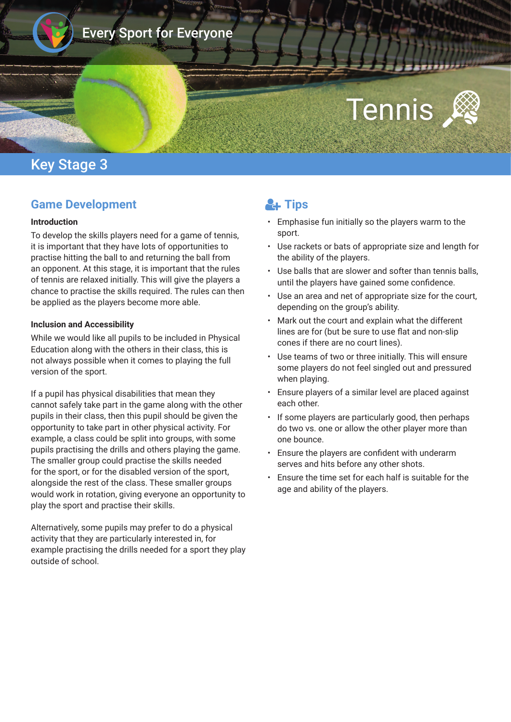

# Every Sport for Everyone

# Tennis

## Key Stage 3

## **Game Development**

#### **Introduction**

To develop the skills players need for a game of tennis, it is important that they have lots of opportunities to practise hitting the ball to and returning the ball from an opponent. At this stage, it is important that the rules of tennis are relaxed initially. This will give the players a chance to practise the skills required. The rules can then be applied as the players become more able.

#### **Inclusion and Accessibility**

While we would like all pupils to be included in Physical Education along with the others in their class, this is not always possible when it comes to playing the full version of the sport.

If a pupil has physical disabilities that mean they cannot safely take part in the game along with the other pupils in their class, then this pupil should be given the opportunity to take part in other physical activity. For example, a class could be split into groups, with some pupils practising the drills and others playing the game. The smaller group could practise the skills needed for the sport, or for the disabled version of the sport, alongside the rest of the class. These smaller groups would work in rotation, giving everyone an opportunity to play the sport and practise their skills.

Alternatively, some pupils may prefer to do a physical activity that they are particularly interested in, for example practising the drills needed for a sport they play outside of school.

# **L**<sub>t</sub> Tips

- Emphasise fun initially so the players warm to the sport.
- Use rackets or bats of appropriate size and length for the ability of the players.
- Use balls that are slower and softer than tennis balls, until the players have gained some confdence.
- Use an area and net of appropriate size for the court, depending on the group's ability.
- Mark out the court and explain what the different lines are for (but be sure to use fat and non-slip cones if there are no court lines).
- Use teams of two or three initially. This will ensure some players do not feel singled out and pressured when playing.
- Ensure players of a similar level are placed against each other.
- If some players are particularly good, then perhaps do two vs. one or allow the other player more than one bounce.
- Ensure the players are confdent with underarm serves and hits before any other shots.
- Ensure the time set for each half is suitable for the age and ability of the players.